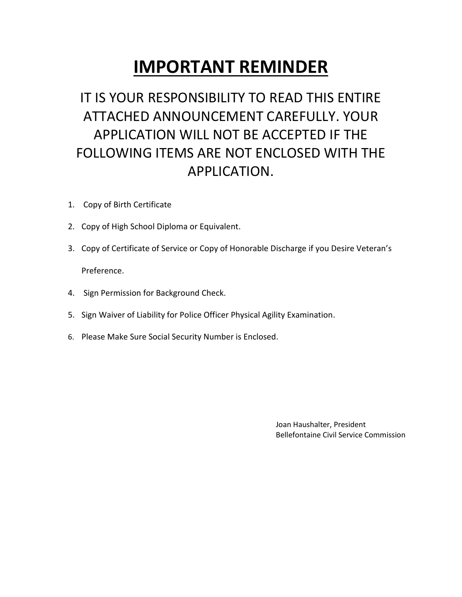# **IMPORTANT REMINDER**

# IT IS YOUR RESPONSIBILITY TO READ THIS ENTIRE ATTACHED ANNOUNCEMENT CAREFULLY. YOUR APPLICATION WILL NOT BE ACCEPTED IF THE FOLLOWING ITEMS ARE NOT ENCLOSED WITH THE APPLICATION.

- 1. Copy of Birth Certificate
- 2. Copy of High School Diploma or Equivalent.
- 3. Copy of Certificate of Service or Copy of Honorable Discharge if you Desire Veteran's Preference.
- 4. Sign Permission for Background Check.
- 5. Sign Waiver of Liability for Police Officer Physical Agility Examination.
- 6. Please Make Sure Social Security Number is Enclosed.

 Joan Haushalter, President Bellefontaine Civil Service Commission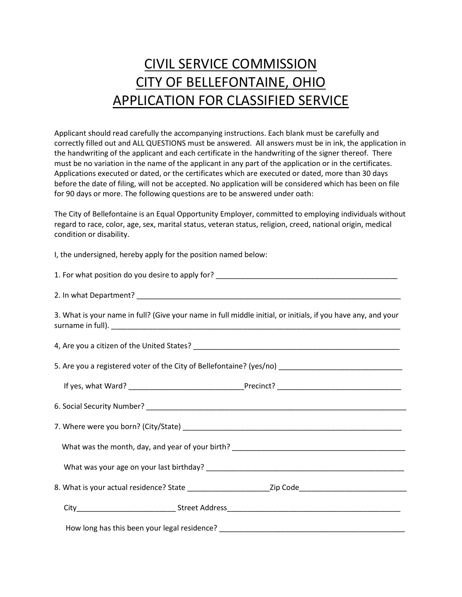# CIVIL SERVICE COMMISSION CITY OF BELLEFONTAINE, OHIO APPLICATION FOR CLASSIFIED SERVICE

Applicant should read carefully the accompanying instructions. Each blank must be carefully and correctly filled out and ALL QUESTIONS must be answered. All answers must be in ink, the application in the handwriting of the applicant and each certificate in the handwriting of the signer thereof. There must be no variation in the name of the applicant in any part of the application or in the certificates. Applications executed or dated, or the certificates which are executed or dated, more than 30 days before the date of filing, will not be accepted. No application will be considered which has been on file for 90 days or more. The following questions are to be answered under oath:

The City of Bellefontaine is an Equal Opportunity Employer, committed to employing individuals without regard to race, color, age, sex, marital status, veteran status, religion, creed, national origin, medical condition or disability.

I, the undersigned, hereby apply for the position named below:

| 1. For what position do you desire to apply for? |  |
|--------------------------------------------------|--|
|--------------------------------------------------|--|

2. In what Department?

3. What is your name in full? (Give your name in full middle initial, or initials, if you have any, and your surname in full).

4, Are you a citizen of the United States?

5. Are you a registered voter of the City of Bellefontaine? (yes/no)

| If yes, what Ward?         | Precinct? |  |
|----------------------------|-----------|--|
|                            |           |  |
| 6. Social Security Number? |           |  |

| 7. Where were you born? (City/State)             |  |
|--------------------------------------------------|--|
| What was the month, day, and year of your birth? |  |

What was your age on your last birthday? \_\_\_\_\_\_\_\_\_\_\_\_\_\_\_\_\_\_\_\_\_\_\_\_\_\_\_\_\_\_\_\_\_\_\_\_\_\_\_\_\_\_\_\_\_\_\_\_

8. What is your actual residence? State \_\_\_\_\_\_\_\_\_\_\_\_\_\_\_\_\_\_\_\_Zip Code\_\_\_\_\_\_\_\_\_\_\_\_\_\_\_\_\_\_\_\_\_\_\_\_\_\_

| ---<br>. . |
|------------|
|            |

How long has this been your legal residence? \_\_\_\_\_\_\_\_\_\_\_\_\_\_\_\_\_\_\_\_\_\_\_\_\_\_\_\_\_\_\_\_\_\_\_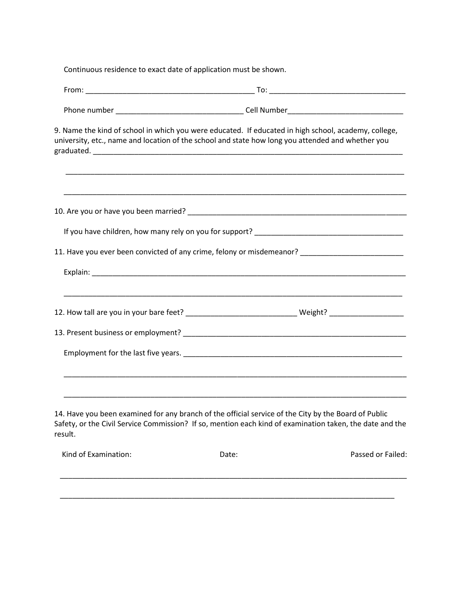Continuous residence to exact date of application must be shown.

|                      | 9. Name the kind of school in which you were educated. If educated in high school, academy, college,<br>university, etc., name and location of the school and state how long you attended and whether you        |                   |
|----------------------|------------------------------------------------------------------------------------------------------------------------------------------------------------------------------------------------------------------|-------------------|
|                      |                                                                                                                                                                                                                  |                   |
|                      |                                                                                                                                                                                                                  |                   |
|                      | 11. Have you ever been convicted of any crime, felony or misdemeanor? _____________________________                                                                                                              |                   |
|                      |                                                                                                                                                                                                                  |                   |
|                      | 12. How tall are you in your bare feet? ________________________________Weight? ____________________                                                                                                             |                   |
|                      |                                                                                                                                                                                                                  |                   |
|                      |                                                                                                                                                                                                                  |                   |
|                      | <u> 1989 - Johann Stoff, amerikansk politiker (d. 1989)</u>                                                                                                                                                      |                   |
| result.              | 14. Have you been examined for any branch of the official service of the City by the Board of Public<br>Safety, or the Civil Service Commission? If so, mention each kind of examination taken, the date and the |                   |
| Kind of Examination: | Date:                                                                                                                                                                                                            | Passed or Failed: |
|                      |                                                                                                                                                                                                                  |                   |

\_\_\_\_\_\_\_\_\_\_\_\_\_\_\_\_\_\_\_\_\_\_\_\_\_\_\_\_\_\_\_\_\_\_\_\_\_\_\_\_\_\_\_\_\_\_\_\_\_\_\_\_\_\_\_\_\_\_\_\_\_\_\_\_\_\_\_\_\_\_\_\_\_\_\_\_\_\_\_\_\_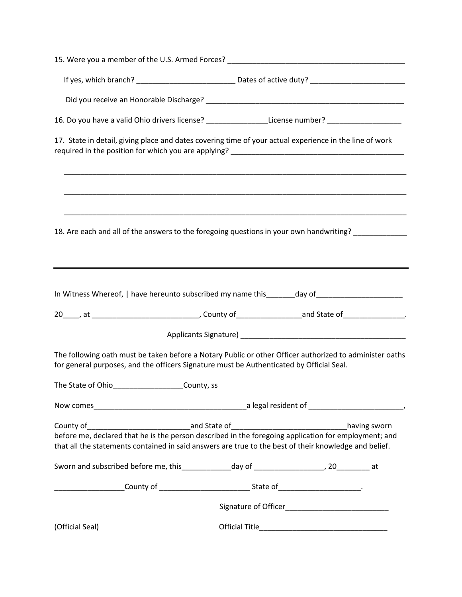| 16. Do you have a valid Ohio drivers license? ________________License number? _____________________                                                                                                                                                                                                                                                   |  |
|-------------------------------------------------------------------------------------------------------------------------------------------------------------------------------------------------------------------------------------------------------------------------------------------------------------------------------------------------------|--|
| 17. State in detail, giving place and dates covering time of your actual experience in the line of work                                                                                                                                                                                                                                               |  |
| <u> 1980 - Johann Stoff, amerikan bestein de stad in de stad in de stad in de stad in de stad in de stad in de st</u><br><u> 1999 - Johann Harry Harry Harry Harry Harry Harry Harry Harry Harry Harry Harry Harry Harry Harry Harry Harry</u><br>18. Are each and all of the answers to the foregoing questions in your own handwriting? ___________ |  |
| In Witness Whereof,   have hereunto subscribed my name this _______day of _________________________                                                                                                                                                                                                                                                   |  |
|                                                                                                                                                                                                                                                                                                                                                       |  |
| The following oath must be taken before a Notary Public or other Officer authorized to administer oaths<br>for general purposes, and the officers Signature must be Authenticated by Official Seal.<br>The State of Ohio______________________County, ss                                                                                              |  |
|                                                                                                                                                                                                                                                                                                                                                       |  |
| before me, declared that he is the person described in the foregoing application for employment; and<br>that all the statements contained in said answers are true to the best of their knowledge and belief.                                                                                                                                         |  |
| Sworn and subscribed before me, this______________day of _____________________, 20___________ at                                                                                                                                                                                                                                                      |  |
|                                                                                                                                                                                                                                                                                                                                                       |  |
|                                                                                                                                                                                                                                                                                                                                                       |  |
|                                                                                                                                                                                                                                                                                                                                                       |  |
|                                                                                                                                                                                                                                                                                                                                                       |  |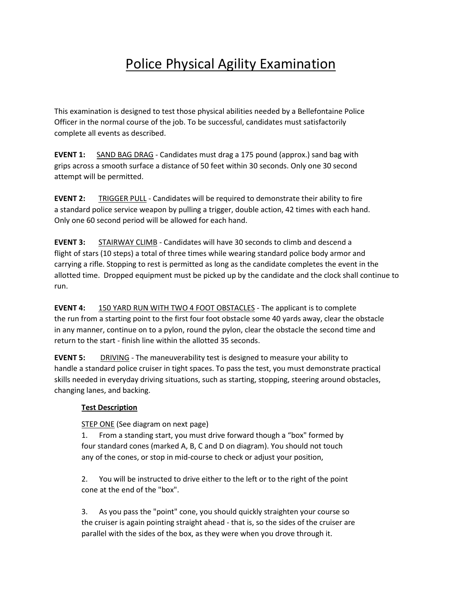## Police Physical Agility Examination

This examination is designed to test those physical abilities needed by a Bellefontaine Police Officer in the normal course of the job. To be successful, candidates must satisfactorily complete all events as described.

**EVENT 1:** SAND BAG DRAG - Candidates must drag a 175 pound (approx.) sand bag with grips across a smooth surface a distance of 50 feet within 30 seconds. Only one 30 second attempt will be permitted.

**EVENT 2:** TRIGGER PULL - Candidates will be required to demonstrate their ability to fire a standard police service weapon by pulling a trigger, double action, 42 times with each hand. Only one 60 second period will be allowed for each hand.

**EVENT 3:** STAIRWAY CLIMB - Candidates will have 30 seconds to climb and descend a flight of stars (10 steps) a total of three times while wearing standard police body armor and carrying a rifle. Stopping to rest is permitted as long as the candidate completes the event in the allotted time. Dropped equipment must be picked up by the candidate and the clock shall continue to run.

**EVENT 4:** 150 YARD RUN WITH TWO 4 FOOT OBSTACLES - The applicant is to complete the run from a starting point to the first four foot obstacle some 40 yards away, clear the obstacle in any manner, continue on to a pylon, round the pylon, clear the obstacle the second time and return to the start - finish line within the allotted 35 seconds.

**EVENT 5:** DRIVING - The maneuverability test is designed to measure your ability to handle a standard police cruiser in tight spaces. To pass the test, you must demonstrate practical skills needed in everyday driving situations, such as starting, stopping, steering around obstacles, changing lanes, and backing.

#### **Test Description**

STEP ONE (See diagram on next page)

1. From a standing start, you must drive forward though a "box" formed by four standard cones (marked A, B, C and D on diagram). You should not touch any of the cones, or stop in mid-course to check or adjust your position,

2. You will be instructed to drive either to the left or to the right of the point cone at the end of the "box".

3. As you pass the "point" cone, you should quickly straighten your course so the cruiser is again pointing straight ahead - that is, so the sides of the cruiser are parallel with the sides of the box, as they were when you drove through it.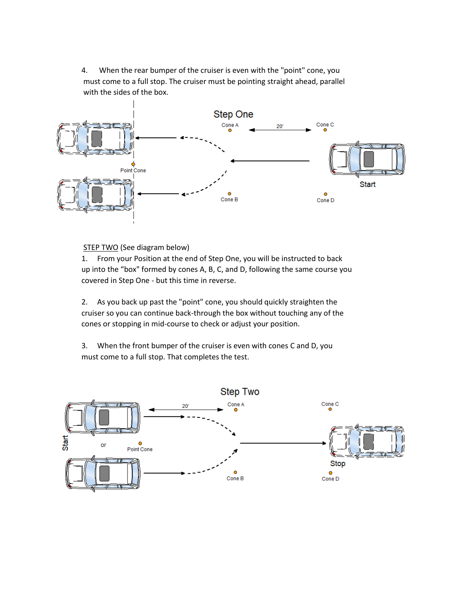4. When the rear bumper of the cruiser is even with the "point" cone, you must come to a full stop. The cruiser must be pointing straight ahead, parallel with the sides of the box.



STEP TWO (See diagram below)

1. From your Position at the end of Step One, you will be instructed to back up into the "box" formed by cones A, B, C, and D, following the same course you covered in Step One - but this time in reverse.

2. As you back up past the "point" cone, you should quickly straighten the cruiser so you can continue back-through the box without touching any of the cones or stopping in mid-course to check or adjust your position.

3. When the front bumper of the cruiser is even with cones C and D, you must come to a full stop. That completes the test.

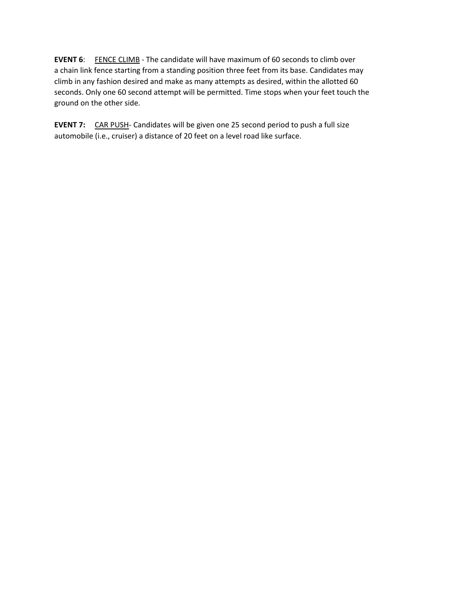**EVENT 6:** FENCE CLIMB - The candidate will have maximum of 60 seconds to climb over a chain link fence starting from a standing position three feet from its base. Candidates may climb in any fashion desired and make as many attempts as desired, within the allotted 60 seconds. Only one 60 second attempt will be permitted. Time stops when your feet touch the ground on the other side.

**EVENT 7:** CAR PUSH- Candidates will be given one 25 second period to push a full size automobile (i.e., cruiser) a distance of 20 feet on a level road like surface.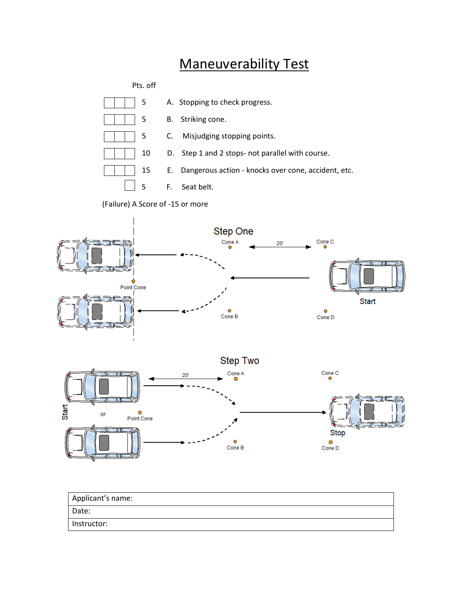### Maneuverability Test

Pts. off



(Failure) A Score of -15 or more





| Applicant's name: |
|-------------------|
| Date:             |
| Instructor:       |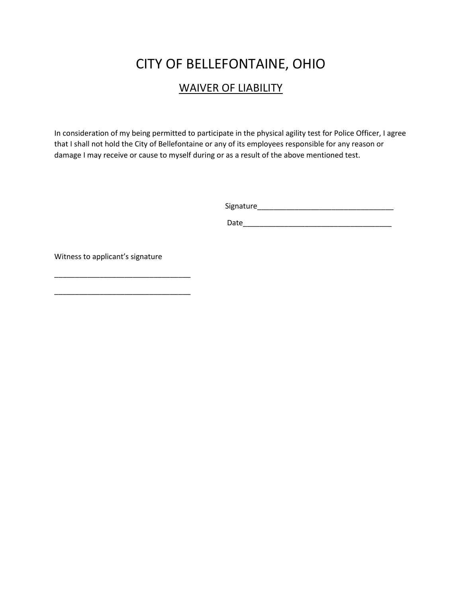### CITY OF BELLEFONTAINE, OHIO

#### WAIVER OF LIABILITY

In consideration of my being permitted to participate in the physical agility test for Police Officer, I agree that I shall not hold the City of Bellefontaine or any of its employees responsible for any reason or damage I may receive or cause to myself during or as a result of the above mentioned test.

Signature\_\_\_\_\_\_\_\_\_\_\_\_\_\_\_\_\_\_\_\_\_\_\_\_\_\_\_\_\_\_\_\_\_

Date\_\_\_\_\_\_\_\_\_\_\_\_\_\_\_\_\_\_\_\_\_\_\_\_\_\_\_\_\_\_\_\_\_\_\_\_

Witness to applicant's signature

\_\_\_\_\_\_\_\_\_\_\_\_\_\_\_\_\_\_\_\_\_\_\_\_\_\_\_\_\_\_\_\_\_

\_\_\_\_\_\_\_\_\_\_\_\_\_\_\_\_\_\_\_\_\_\_\_\_\_\_\_\_\_\_\_\_\_